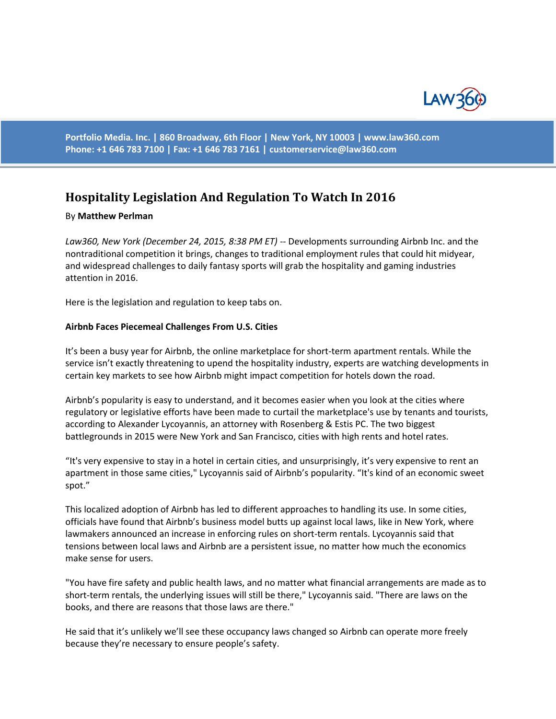

**Portfolio Media. Inc. | 860 Broadway, 6th Floor | New York, NY 10003 | www.law360.com Phone: +1 646 783 7100 | Fax: +1 646 783 7161 | [customerservice@law360.com](mailto:customerservice@law360.com)**

# **Hospitality Legislation And Regulation To Watch In 2016**

#### By **Matthew Perlman**

*Law360, New York (December 24, 2015, 8:38 PM ET)* -- Developments surrounding Airbnb Inc. and the nontraditional competition it brings, changes to traditional employment rules that could hit midyear, and widespread challenges to daily fantasy sports will grab the hospitality and gaming industries attention in 2016.

Here is the legislation and regulation to keep tabs on.

## **Airbnb Faces Piecemeal Challenges From U.S. Cities**

It's been a busy year for Airbnb, the online marketplace for short-term apartment rentals. While the service isn't exactly threatening to upend the hospitality industry, experts are watching developments in certain key markets to see how Airbnb might impact competition for hotels down the road.

Airbnb's popularity is easy to understand, and it becomes easier when you look at the cities where regulatory or legislative efforts have been made to curtail the marketplace's use by tenants and tourists, according to Alexander Lycoyannis, an attorney with Rosenberg & Estis PC. The two biggest battlegrounds in 2015 were New York and San Francisco, cities with high rents and hotel rates.

"It's very expensive to stay in a hotel in certain cities, and unsurprisingly, it's very expensive to rent an apartment in those same cities," Lycoyannis said of Airbnb's popularity. "It's kind of an economic sweet spot."

This localized adoption of Airbnb has led to different approaches to handling its use. In some cities, officials have found that Airbnb's business model butts up against local laws, like in New York, where lawmakers announced an increase in enforcing rules on short-term rentals. Lycoyannis said that tensions between local laws and Airbnb are a persistent issue, no matter how much the economics make sense for users.

"You have fire safety and public health laws, and no matter what financial arrangements are made as to short-term rentals, the underlying issues will still be there," Lycoyannis said. "There are laws on the books, and there are reasons that those laws are there."

He said that it's unlikely we'll see these occupancy laws changed so Airbnb can operate more freely because they're necessary to ensure people's safety.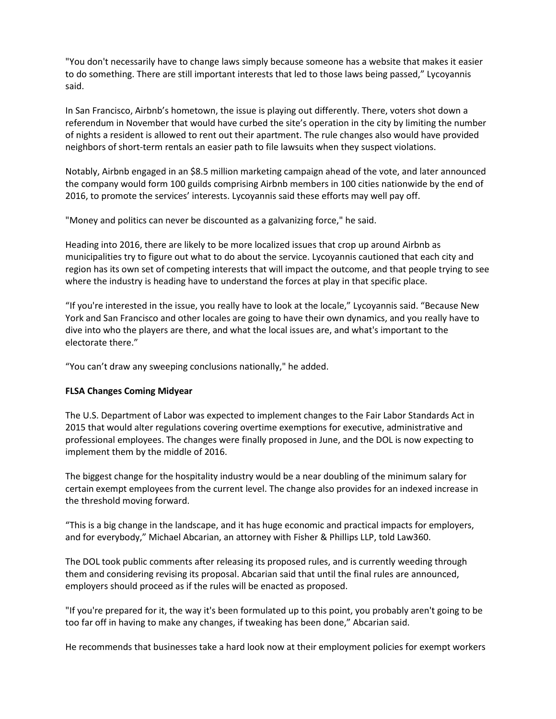"You don't necessarily have to change laws simply because someone has a website that makes it easier to do something. There are still important interests that led to those laws being passed," Lycoyannis said.

In San Francisco, Airbnb's hometown, the issue is playing out differently. There, voters shot down a referendum in November that would have curbed the site's operation in the city by limiting the number of nights a resident is allowed to rent out their apartment. The rule changes also would have provided neighbors of short-term rentals an easier path to file lawsuits when they suspect violations.

Notably, Airbnb engaged in an \$8.5 million marketing campaign ahead of the vote, and later announced the company would form 100 guilds comprising Airbnb members in 100 cities nationwide by the end of 2016, to promote the services' interests. Lycoyannis said these efforts may well pay off.

"Money and politics can never be discounted as a galvanizing force," he said.

Heading into 2016, there are likely to be more localized issues that crop up around Airbnb as municipalities try to figure out what to do about the service. Lycoyannis cautioned that each city and region has its own set of competing interests that will impact the outcome, and that people trying to see where the industry is heading have to understand the forces at play in that specific place.

"If you're interested in the issue, you really have to look at the locale," Lycoyannis said. "Because New York and San Francisco and other locales are going to have their own dynamics, and you really have to dive into who the players are there, and what the local issues are, and what's important to the electorate there."

"You can't draw any sweeping conclusions nationally," he added.

## **FLSA Changes Coming Midyear**

The U.S. Department of Labor was expected to implement changes to the Fair Labor Standards Act in 2015 that would alter regulations covering overtime exemptions for executive, administrative and professional employees. The changes were finally proposed in June, and the DOL is now expecting to implement them by the middle of 2016.

The biggest change for the hospitality industry would be a near doubling of the minimum salary for certain exempt employees from the current level. The change also provides for an indexed increase in the threshold moving forward.

"This is a big change in the landscape, and it has huge economic and practical impacts for employers, and for everybody," Michael Abcarian, an attorney with Fisher & Phillips LLP, told Law360.

The DOL took public comments after releasing its proposed rules, and is currently weeding through them and considering revising its proposal. Abcarian said that until the final rules are announced, employers should proceed as if the rules will be enacted as proposed.

"If you're prepared for it, the way it's been formulated up to this point, you probably aren't going to be too far off in having to make any changes, if tweaking has been done," Abcarian said.

He recommends that businesses take a hard look now at their employment policies for exempt workers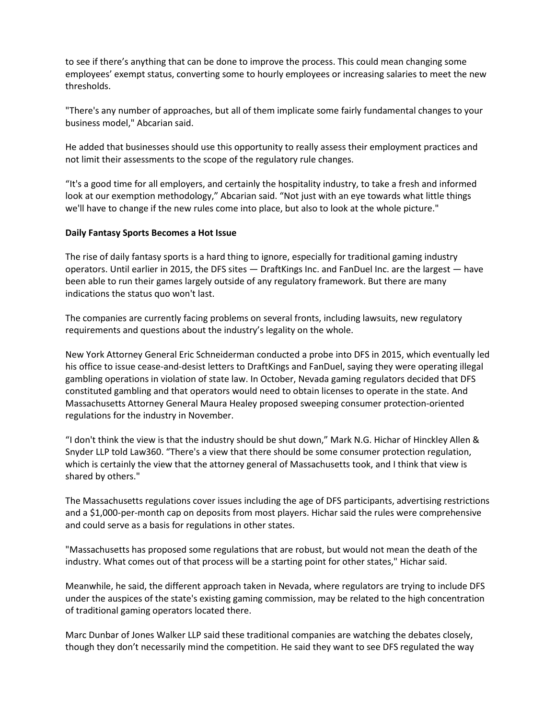to see if there's anything that can be done to improve the process. This could mean changing some employees' exempt status, converting some to hourly employees or increasing salaries to meet the new thresholds.

"There's any number of approaches, but all of them implicate some fairly fundamental changes to your business model," Abcarian said.

He added that businesses should use this opportunity to really assess their employment practices and not limit their assessments to the scope of the regulatory rule changes.

"It's a good time for all employers, and certainly the hospitality industry, to take a fresh and informed look at our exemption methodology," Abcarian said. "Not just with an eye towards what little things we'll have to change if the new rules come into place, but also to look at the whole picture."

## **Daily Fantasy Sports Becomes a Hot Issue**

The rise of daily fantasy sports is a hard thing to ignore, especially for traditional gaming industry operators. Until earlier in 2015, the DFS sites — DraftKings Inc. and FanDuel Inc. are the largest — have been able to run their games largely outside of any regulatory framework. But there are many indications the status quo won't last.

The companies are currently facing problems on several fronts, including lawsuits, new regulatory requirements and questions about the industry's legality on the whole.

New York Attorney General Eric Schneiderman conducted a probe into DFS in 2015, which eventually led his office to issue cease-and-desist letters to DraftKings and FanDuel, saying they were operating illegal gambling operations in violation of state law. In October, Nevada gaming regulators decided that DFS constituted gambling and that operators would need to obtain licenses to operate in the state. And Massachusetts Attorney General Maura Healey proposed sweeping consumer protection-oriented regulations for the industry in November.

"I don't think the view is that the industry should be shut down," Mark N.G. Hichar of Hinckley Allen & Snyder LLP told Law360. "There's a view that there should be some consumer protection regulation, which is certainly the view that the attorney general of Massachusetts took, and I think that view is shared by others."

The Massachusetts regulations cover issues including the age of DFS participants, advertising restrictions and a \$1,000-per-month cap on deposits from most players. Hichar said the rules were comprehensive and could serve as a basis for regulations in other states.

"Massachusetts has proposed some regulations that are robust, but would not mean the death of the industry. What comes out of that process will be a starting point for other states," Hichar said.

Meanwhile, he said, the different approach taken in Nevada, where regulators are trying to include DFS under the auspices of the state's existing gaming commission, may be related to the high concentration of traditional gaming operators located there.

Marc Dunbar of Jones Walker LLP said these traditional companies are watching the debates closely, though they don't necessarily mind the competition. He said they want to see DFS regulated the way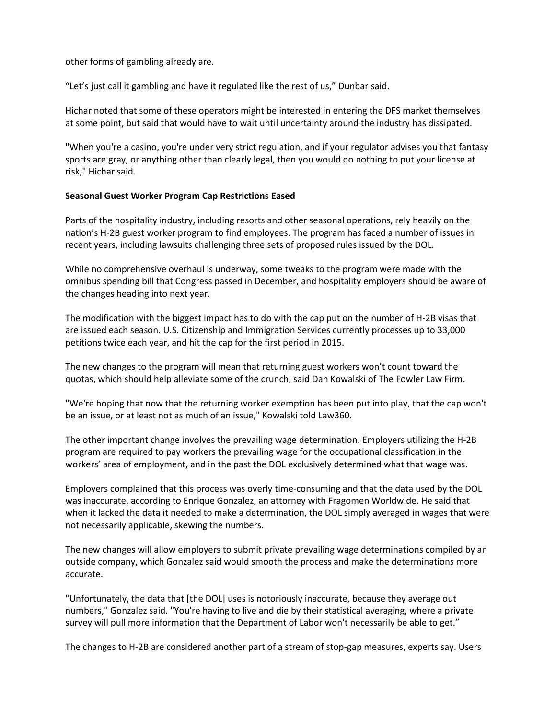other forms of gambling already are.

"Let's just call it gambling and have it regulated like the rest of us," Dunbar said.

Hichar noted that some of these operators might be interested in entering the DFS market themselves at some point, but said that would have to wait until uncertainty around the industry has dissipated.

"When you're a casino, you're under very strict regulation, and if your regulator advises you that fantasy sports are gray, or anything other than clearly legal, then you would do nothing to put your license at risk," Hichar said.

## **Seasonal Guest Worker Program Cap Restrictions Eased**

Parts of the hospitality industry, including resorts and other seasonal operations, rely heavily on the nation's H-2B guest worker program to find employees. The program has faced a number of issues in recent years, including lawsuits challenging three sets of proposed rules issued by the DOL.

While no comprehensive overhaul is underway, some tweaks to the program were made with the omnibus spending bill that Congress passed in December, and hospitality employers should be aware of the changes heading into next year.

The modification with the biggest impact has to do with the cap put on the number of H-2B visas that are issued each season. U.S. Citizenship and Immigration Services currently processes up to 33,000 petitions twice each year, and hit the cap for the first period in 2015.

The new changes to the program will mean that returning guest workers won't count toward the quotas, which should help alleviate some of the crunch, said Dan Kowalski of The Fowler Law Firm.

"We're hoping that now that the returning worker exemption has been put into play, that the cap won't be an issue, or at least not as much of an issue," Kowalski told Law360.

The other important change involves the prevailing wage determination. Employers utilizing the H-2B program are required to pay workers the prevailing wage for the occupational classification in the workers' area of employment, and in the past the DOL exclusively determined what that wage was.

Employers complained that this process was overly time-consuming and that the data used by the DOL was inaccurate, according to Enrique Gonzalez, an attorney with Fragomen Worldwide. He said that when it lacked the data it needed to make a determination, the DOL simply averaged in wages that were not necessarily applicable, skewing the numbers.

The new changes will allow employers to submit private prevailing wage determinations compiled by an outside company, which Gonzalez said would smooth the process and make the determinations more accurate.

"Unfortunately, the data that [the DOL] uses is notoriously inaccurate, because they average out numbers," Gonzalez said. "You're having to live and die by their statistical averaging, where a private survey will pull more information that the Department of Labor won't necessarily be able to get."

The changes to H-2B are considered another part of a stream of stop-gap measures, experts say. Users